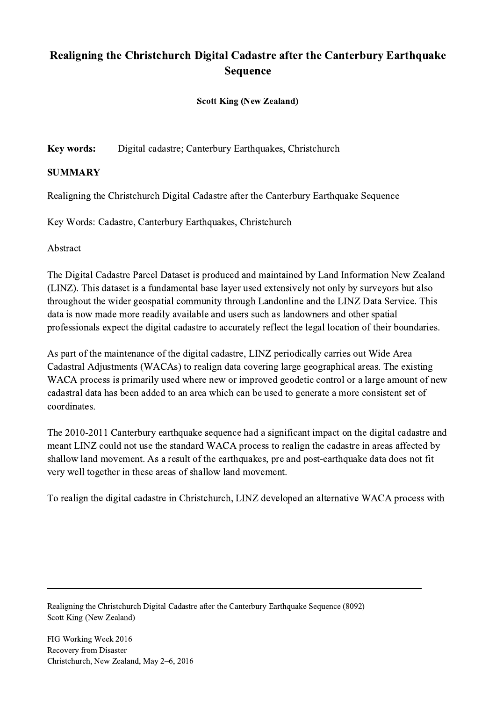## Realigning the Christchurch Digital Cadastre after the Canterbury Earthquake Sequence

Scott King (New Zealand)

Key words: Digital cadastre; Canterbury Earthquakes, Christchurch

## SUMMARY

Realigning the Christchurch Digital Cadastre after the Canterbury Earthquake Sequence

Key Words: Cadastre, Canterbury Earthquakes, Christchurch

Abstract

The Digital Cadastre Parcel Dataset is produced and maintained by Land Information New Zealand (LINZ). This dataset is a fundamental base layer used extensively not only by surveyors but also throughout the wider geospatial community through Landonline and the LINZ Data Service. This data is now made more readily available and users such as landowners and other spatial professionals expect the digital cadastre to accurately reflect the legal location of their boundaries.

As part of the maintenance of the digital cadastre, LINZ periodically carries out Wide Area Cadastral Adjustments (WACAs) to realign data covering large geographical areas. The existing WACA process is primarily used where new or improved geodetic control or a large amount of new cadastral data has been added to an area which can be used to generate a more consistent set of coordinates.

The 2010-2011 Canterbury earthquake sequence had a significant impact on the digital cadastre and meant LINZ could not use the standard WACA process to realign the cadastre in areas affected by shallow land movement. As a result of the earthquakes, pre and post-earthquake data does not fit very well together in these areas of shallow land movement.

To realign the digital cadastre in Christchurch, LINZ developed an alternative WACA process with

 $\mathcal{L}_\mathcal{L} = \{ \mathcal{L}_\mathcal{L} = \{ \mathcal{L}_\mathcal{L} = \{ \mathcal{L}_\mathcal{L} = \{ \mathcal{L}_\mathcal{L} = \{ \mathcal{L}_\mathcal{L} = \{ \mathcal{L}_\mathcal{L} = \{ \mathcal{L}_\mathcal{L} = \{ \mathcal{L}_\mathcal{L} = \{ \mathcal{L}_\mathcal{L} = \{ \mathcal{L}_\mathcal{L} = \{ \mathcal{L}_\mathcal{L} = \{ \mathcal{L}_\mathcal{L} = \{ \mathcal{L}_\mathcal{L} = \{ \mathcal{L}_\mathcal{$ 

Realigning the Christchurch Digital Cadastre after the Canterbury Earthquake Sequence (8092) Scott King (New Zealand)

FIG Working Week 2016 Recovery from Disaster Christchurch, New Zealand, May 2–6, 2016